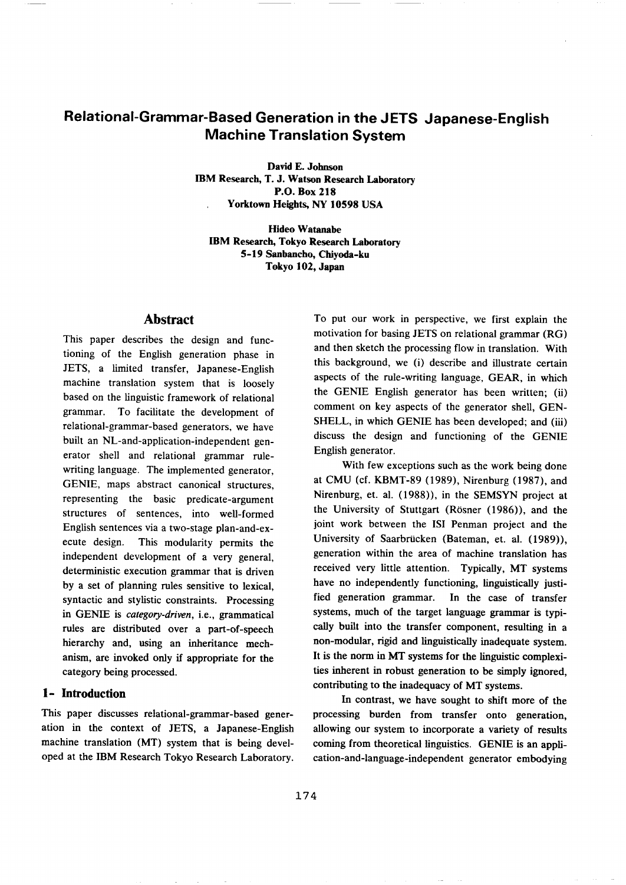# **Relational-Grammar-Based Generation in the JETS Japanese-English Machine Translation System**

**David E. Johnson IBM Research, T. J. Watson Research Laboratory P.O. Box 218 Yorktown Heights, NY 10598 USA** 

**Hideo Watanabe IBM Research, Tokyo Research Laboratory 5-19 Sanbaneho, Chiyoda-ku Tokyo 102, Japan** 

# **Abstract**

This paper describes the design and functioning of the English generation phase in JETS, a limited transfer, Japanese-English machine translation system that is loosely based on the linguistic framework of relational grammar. To facilitate the development of relational-grammar-based generators, we have built an NL-and-application-independent generator shell and relational grammar rulewriting language. The implemented generator, GENIE, maps abstract canonical structures, representing the basic predicate-argument structures of sentences, into well-formed English sentences via a two-stage plan-and-execute design. This modularity permits the independent development of a very general, deterministic execution grammar that is driven by a set of planning rules sensitive to lexical, syntactic and stylistic constraints. Processing in GENIE is *category-driven,* i.e., grammatical rules are distributed over a part-of-speech hierarchy and, using an inheritance mechanism, are invoked only if appropriate for the category being processed.

## **1- Introduction**

This paper discusses relational-grammar-based generation in the context of JETS, a Japanese-English machine translation (MT) system that is being developed at the IBM Research Tokyo Research Laboratory. To put our work in perspective, we first explain the motivation for basing JETS on relational grammar (RG) and then sketch the processing flow in translation. With this background, we (i) describe and illustrate certain aspects of the rule-writing language, GEAR, in which the GENIE English generator has been written; (ii) comment on key aspects of the generator shell, GEN-SHELL, in which GENIE has been developed; and (iii) discuss the design and functioning of the GENIE English generator.

With few exceptions such as the work being done at CMU (cf. KBMT-89 (1989), Nirenburg (1987), and Nirenburg, et. al. (1988)), in the SEMSYN project at the University of Stuttgart (Rosner (1986)), and the joint work between the ISI Penman project and the University of Saarbrücken (Bateman, et. al. (1989)), generation within the area of machine translation has received very little attention. Typically, MT systems have no independently functioning, linguistically justified generation grammar. In the case of transfer systems, much of the target language grammar is typically built into the transfer component, resulting in a non-modular, rigid and linguistically inadequate system. It is the norm in MT systems for the linguistic complexities inherent in robust generation to be simply ignored, contributing to the inadequacy of MT systems.

In contrast, we have sought to shift more of the processing burden from transfer onto generation, allowing our system to incorporate a variety of results coming from theoretical linguistics. GENIE is an application-and-language-independent generator embodying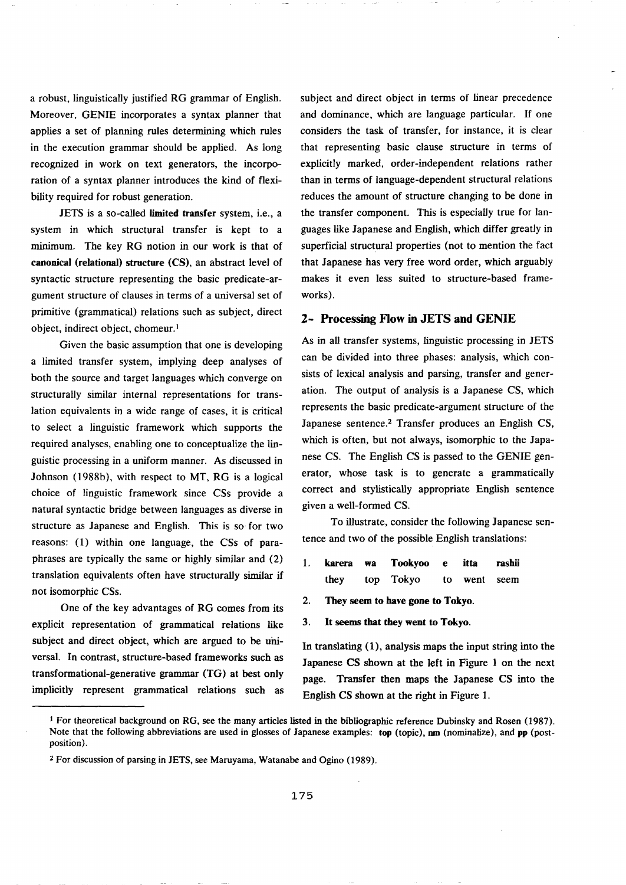a robust, linguistically justified RG grammar of English. Moreover, GENIE incorporates a syntax planner that applies a set of planning rules determining which rules in the execution grammar should be applied. As long recognized in work on text generators, the incorporation of a syntax planner introduces the kind of flexibility required for robust generation.

JETS is a so-called limited transfer system, i.e., a system in which structural transfer is kept to a minimum. The key RG notion in our work is that of **canonical (relational) structure** (CS), an abstract level of syntactic structure representing the basic predicate-argument structure of clauses in terms of a universal set of primitive (grammatical) relations such as subject, direct object, indirect object, chomeur.<sup>1</sup>

Given the basic assumption that one is developing a limited transfer system, implying deep analyses of both the source and target languages which converge on structurally similar internal representations for translation equivalents in a wide range of cases, it is critical to select a linguistic framework which supports the required analyses, enabling one to conceptualize the linguistic processing in a uniform manner. As discussed in Johnson (1988b), with respect to MT, RG is a logical choice of linguistic framework since CSs provide a natural syntactic bridge between languages as diverse in structure as Japanese and English. This is so for two reasons: (1) within one language, the CSs of paraphrases are typically the same or highly similar and (2) translation equivalents often have structurally similar if not isomorphic CSs.

One of the key advantages of RG comes from its explicit representation of grammatical relations like subject and direct object, which are argued to be universal. In contrast, structure-based frameworks such as transformational-generative grammar (TG) at best only implicitly represent grammatical relations such as subject and direct object in terms of linear precedence and dominance, which are language particular. If one considers the task of transfer, for instance, it is clear that representing basic clause structure in terms of explicitly marked, order-independent relations rather than in terms of language-dependent structural relations reduces the amount of structure changing to be done in the transfer component. This is especially true for languages like Japanese and English, which differ greatly in superficial structural properties (not to mention the fact that Japanese has very free word order, which arguably makes it even less suited to structure-based frameworks).

### 2- Processing Flow in JETS **and** GENIE

As in all transfer systems, linguistic processing in JETS can be divided into three phases: analysis, which consists of lexical analysis and parsing, transfer and generation. The output of analysis is a Japanese CS, which represents the basic predicate-argument structure of the Japanese sentence.<sup>2</sup> Transfer produces an English CS, which is often, but not always, isomorphic to the Japanese CS. The English CS is passed to the GENIE generator, whose task is to generate a grammatically correct and stylistically appropriate English sentence given a well-formed CS.

To illustrate, consider the following Japanese sentence and two of the possible English translations:

- 1. karera wa Tookyoo e itta rashii they top Tokyo to went seem
- **2. They seem to have gone to Tokyo.**
- **3. It seems that they went to Tokyo.**

In translating (1), analysis maps the input string into the **Japanese** CS shown at the left in Figure 1 on the next page. Transfer then maps the Japanese CS into the English CS shown at the right in Figure 1.

I For theoretical background on RG, see the many articles listed in the bibliographic reference Dubinsky and Rosen (1987). Note that the following abbreviations are used in glosses of Japanese examples: top (topic), nm (nominalize), and pp (postposition).

<sup>2</sup> For discussion of parsing in JETS, see Maruyama, Watanabe and Ogino (1989).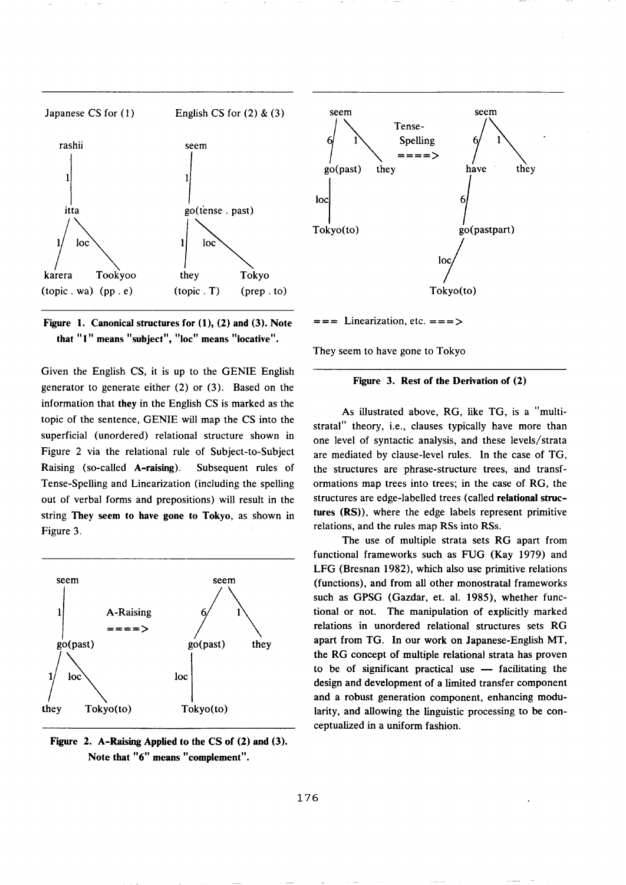



Given the English CS, it is up to the GENIE English generator to generate either (2) or (3). Based on the information that they in the English CS is marked as the topic of the sentence, GENIE will map the CS into the superficial (unordered) relational structure shown in Figure 2 via the relational rule of Subject-to-Subject Raising (so-called A-raising). Subsequent rules of Tense-Spelling and Linearization (including the spelling out of verbal forms and prepositions) will result in the string They seem **to have gone to** Tokyo, as shown in Figure 3.



**Figure 2. A-Raising Applied to the CS of (2) and (3). Note that "6" means "complement".** 



 $==$  Linearization, etc.  $==$ 

They seem to have gone to Tokyo

### **Figure 3. Rest of the Derivation of (2)**

As illustrated above, RG, like TG, is a "multistratal" theory, i.e., clauses typically have more than one level of syntactic analysis, and these levels/strata are mediated by clause-level rules. In the case of TG, the structures are phrase-structure trees, and transformations map trees into trees; in the case of RG, the structures are edge-labelled trees (called relational structures (RS)), where the edge labels represent primitive relations, and the rules map RSs into RSs.

The use of multiple strata sets RG apart from functional frameworks such as FUG (Kay 1979) and LFG (Bresnan 1982), which also use primitive relations (functions), and from all other monostratal frameworks such as GPSG (Gazdar, et. al. 1985), whether functional or not. The manipulation of explicitly marked relations in unordered relational structures sets RG apart from TG. In our work on Japanese-English MT, the RG concept of multiple relational strata has proven to be of significant practical use  $-$  facilitating the design and development of a limited transfer component and a robust generation component, enhancing modularity, and allowing the linguistic processing to be conceptualized in a uniform fashion.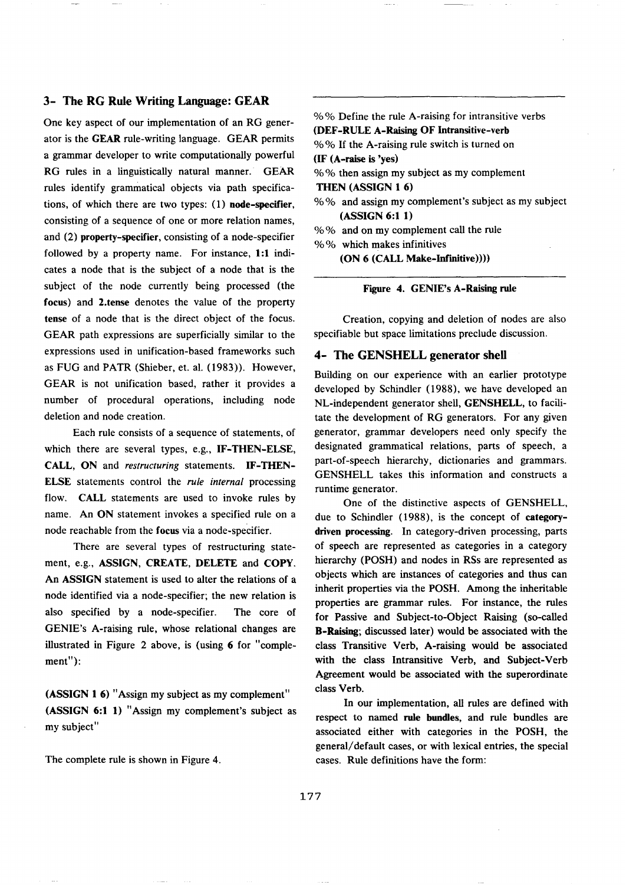## 3- The RG Rule Writing Language: GEAR

One key aspect of our implementation of an RG generator is the GEAR rule-writing language. GEAR permits a grammar developer to write computationally powerful RG rules in a linguistically natural manner. GEAR rules identify grammatical objects via path specifications, of which there are two types: (1) node-specifier, consisting of a sequence of one or more relation names, and (2) property-specifier, consisting of a node-specifier followed by a property name. For instance, 1:1 indicates a node that is the subject of a node that is the subject of the node currently being processed (the focus) and 2.tense denotes the value of the property **tense** of a node that is the direct object of the focus. GEAR path expressions are superficially similar to the expressions used in unification-based frameworks such as FUG and PATR (Shieber, et. al. (1983)). However, GEAR is not unification based, rather it provides a number of procedural operations, including node deletion and node creation.

Each rule consists of a sequence of statements, of which there are several types, e.g., IF-THEN-ELSE, CALL, ON and *restructuring* statements. IF-THEN-ELSE statements control the *rule internal* processing flow. CALL statements are used to invoke rules by name. An ON statement invokes a specified rule on a node reachable from the focus via a node-specifier.

There are several types of restructuring statement, e.g., ASSIGN, CREATE, DELETE and COPY. An ASSIGN statement is used to alter the relations of a node identified via a node-specifier; the new relation is also specified by a node-specifier. The core of GENIE's A-raising rule, whose relational changes are illustrated in Figure 2 above, is (using 6 for "complement"):

(ASSIGN 1 6) "Assign my subject as my complement" (ASSIGN 6:1 1) "Assign my complement's subject as my subject"

The complete rule is shown in Figure 4.

% % Define the rule A-raising for intransitive verbs (DEF-RULE A-Raising OF Intransitive-verb % % If the A-raising rule switch is turned on (IF (A-raise is 'yes) % % then assign my subject as my complement THEN (ASSIGN 1 6) % % and assign my complement's subject as my subject (ASSIGN 6:1 1) % % and on my complement call the rule % % which makes infinitives

(ON 6 (CALL Make-lnf'mitive))))

Figure 4. GENIE's A-Raising rule

Creation, copying and deletion of nodes are also specifiable but space limitations preclude discussion.

### **4-** The GENSHELL generator shell

Building on our experience with an earlier prototype developed by Schindler (1988), we have developed an NL-independent generator shell, GENSHELL, to facilitate the development of RG generators. For any given generator, grammar developers need only specify the designated grammatical relations, parts of speech, a part-of-speech hierarchy, dictionaries and grammars. GENSHELL takes this information and constructs a runtime generator.

One of the distinctive aspects of GENSHELL, due to Sehindler (1988), is the concept of **categorydriven** processing. In category-driven processing, parts of speech are represented as categories in a category hierarchy (POSH) and nodes in RSs are represented as objects which are instances of categories and thus can inherit properties via the POSH, Among the inheritable properties are grammar rules. For instance, the rules for Passive and Subject-to-Object Raising (so-called B-Raising; discussed later) would be associated with the class Transitive Verb, A-raising would be associated with the class Intransitive Verb, and Subject-Verb Agreement would be associated with the superordinate class Verb.

In our implementation, all rules are defined with respect to named rule bundles, and rule bundles are associated either with categories in the POSH, the general/default eases, or with lexical entries, the special cases. Rule definitions have the form: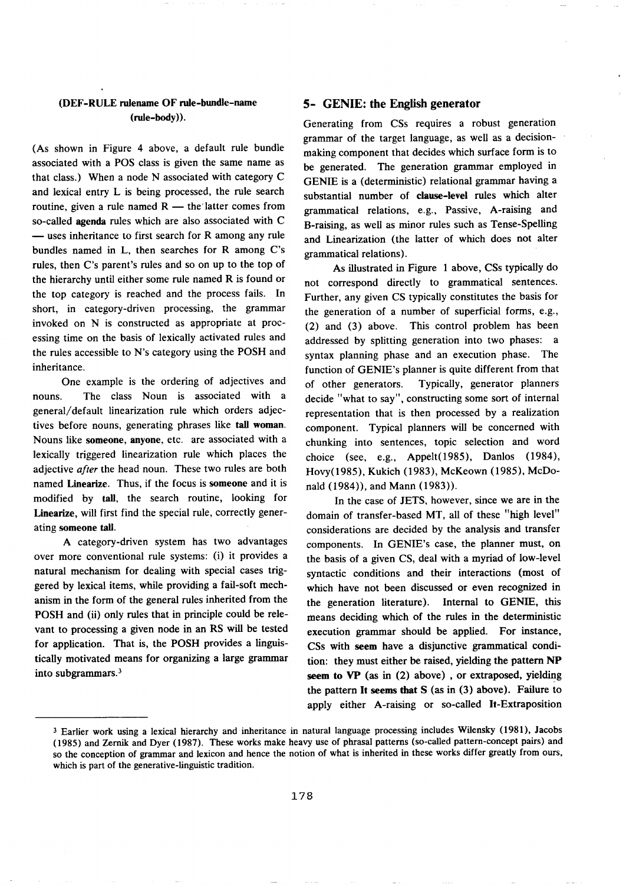## (DEF-RULE rulename OF rule-bundle-name (rule-body)).

(As shown in Figure 4 above, a default rule bundle associated with a POS class is given the same name as that class.) When a node N associated with category C and lexical entry L is being processed, the rule search routine, given a rule named  $R$  -- the latter comes from so-called agenda rules which are also associated with C  $-$  uses inheritance to first search for R among any rule bundles named in L, then searches for R among C's rules, then C's parent's rules and so on up to the top of the hierarchy until either some rule named R is found or the top category is reached and the process fails. In short, in category-driven processing, the grammar invoked on N is constructed as appropriate at processing time on the basis of lexically activated rules and the rules accessible to N's category using the POSH and inheritance.

One example is the ordering of adjectives and nouns. The class Noun is associated with a general/default lineanzation rule which orders adjectives before nouns, generating phrases like tall woman. Nouns like **someone, anyone,** etc. are associated with a lexically triggered linearization rule which places the adjective *after* the head noun. These two rules are both named Linearize. Thus, if the focus is someone and it is modified by tall, the search routine, looking for Linearize, will first find the special rule, correctly generating someone tall.

A category-driven system has two advantages over more conventional rule systems: (i) it provides a natural mechanism for dealing with special cases triggered by lexical items, while providing a fail-soft mechanism in the form of the general rules inherited from the POSH and (ii) only rules that in principle could be relevant to processing a given node in an RS will be tested for application. That is, the POSH provides a linguistically motivated means for organizing a large grammar into subgrammars. 3

## **5- GENIE: the English generator**

Generating from CSs requires a robust generation grammar of the target language, as well as a decisionmaking component that decides which surface form is to be generated. The generation grammar employed in GENIE is a (deterministic) relational grammar having a substantial number of clause-level rules which alter grammatical relations, e.g., Passive, A-raising and B-raising, as well as minor rules such as Tense-Spelling and Linearization (the latter of which does not alter grammatical relations).

As illustrated in Figure 1 above, CSs typically do not correspond directly to grammatical sentences. Further, any given CS typically constitutes the basis for the generation of a number of superficial forms, e.g., (2) and (3) above. This control problem has been addressed by splitting generation into two phases: a syntax planning phase and an execution phase. The function of GENIE's planner is quite different from that of other generators. Typically, generator planners decide "what to say", constructing some sort of internal representation that is then processed by a realization component. Typical planners will be concerned with chunking into sentences, topic selection and word choice (see, e.g., Appelt(1985), Danlos (1984), Hovy(1985), Kukich (1983), McKeown (1985), McDonald (1984)), and Mann (1983)).

In the case of JETS, however, since we are in the domain of transfer-based MT, all of these "high level" considerations are decided by the analysis and transfer components. In GENIE's case, the planner must, on the basis of a given CS, deal with a myriad of low-level syntactic conditions and their interactions (most of which have not been discussed or even recognized in the generation literature). Internal to GENIE, this means deciding which of the rules in the deterministic execution grammar should be applied. For instance, CSs with seem have a disjunctive grammatical condition: they must either be raised, yielding the pattern NP seem to VP (as in (2) above) , or extraposed, yielding the pattern It seems that S (as in (3) above). Failure to apply either A-raising or so-called It-Extraposition

<sup>3</sup> Earlier work using a lexical hierarchy and inheritance in natural language processing includes Wilensky (1981), Jacobs (1985) and Zernik and Dyer (1987). These works make heavy use of phrasal patterns (so-called pattern-concept pairs) and so the conception of grammar and lexicon and hence the notion of what is inherited in these works differ greatly from ours, which is part of the generative-linguistic tradition.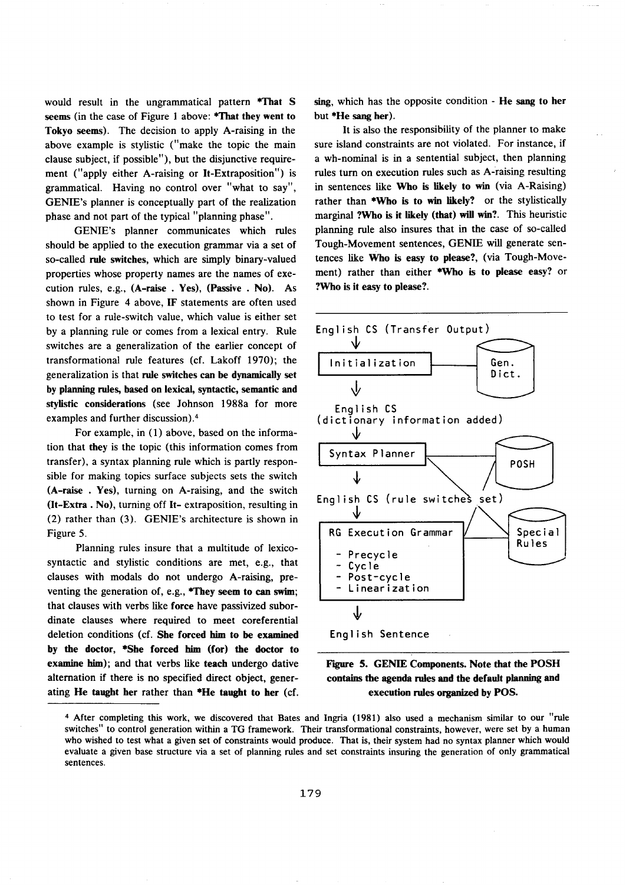would result in the ungrammatical pattern \*That S seems (in the case of Figure 1 above: \*That **they went to**  Tokyo seems). The decision to apply A-raising in the above example is stylistic ("make the topic the main clause subject, if possible"), but the disjunctive requirement ("apply either A-raising or It-Extraposition") is grammatical. Having no control over "what to say", GENIE's planner is conceptually part of the realization phase and not part of the typical "planning phase".

GENIE's planner communicates which rules should be applied to the execution grammar via a set of so-called rule switches, which are simply binary-valued properties whose property names are the names of execution rules, e.g., (A-raise . Yes), (Passive . No). As shown in Figure 4 above, IF statements are often used to test for a rule-switch value, which value is either set by a planning rule or comes from a lexical entry. Rule switches are a generalization of the earlier concept of transformational rule features (cf. Lakoff 1970); the generalization is that rule **switches can** be dynamically set by planning rules, based on lexicul, syntactic, semantic **and**  stylistic considerations (see Johnson 1988a for more examples and further discussion).<sup>4</sup>

For example, in (1) above, based on the information that they is the topic (this information comes from transfer), a syntax planning rule which is partly responsible for making topics surface subjects sets the switch (A-raise . Yes), turning on A-raising, and the switch (It-Extra. No), turning off It- extraposition, resulting in (2) rather than (3). GENIE's architecture is shown in Figure 5.

Planning rules insure that a multitude of lexicosyntactic and stylistic conditions are met, e.g., that clauses with modals do not undergo A-raising, preventing the generation of, e.g., \*They **seem to** can swim; that clauses with verbs like force have passivized subordinate clauses where required to meet coreferential deletion conditions (cf. **She forced** him to be examined **by the doctor, \*She forced him (for) the doctor to**  examine him); and that verbs like teach undergo dative alternation if there is no specified direct object, generating He taught her rather than \*He taught **to her (cf.**  sing, which has the opposite condition - He sang **to her**  but \*He sang **her).** 

It is also the responsibility of the planner to make sure island constraints are not violated. For instance, if a wh-nominal is in a sentential subject, then planning rules turn on execution rules such as A-raising resulting in sentences like Who is likely to win (via A-Raising) rather than \*Who is to win likely? or the stylistically marginal ?Who is it likely (that) will win?. This heuristic planning rule also insures that in the case of so-called Tough-Movement sentences, GENIE will generate sentences like Who is **easy to** please?, (via Tough-Movement) rather than either \*Who is to please easy? or ?Who is **it easy to** please?.





<sup>4</sup> After completing this work, we discovered that Bates and Ingria (1981) also used a mechanism similar to our "rule switches" to control generation within a TG framework. Their transformational constraints, however, were set by a human who wished to test what a given set of constraints would produce. That is, their system had no syntax planner which would evaluate a given base structure via a set of planning rules and set constraints insuring the generation of only grammatical sentences.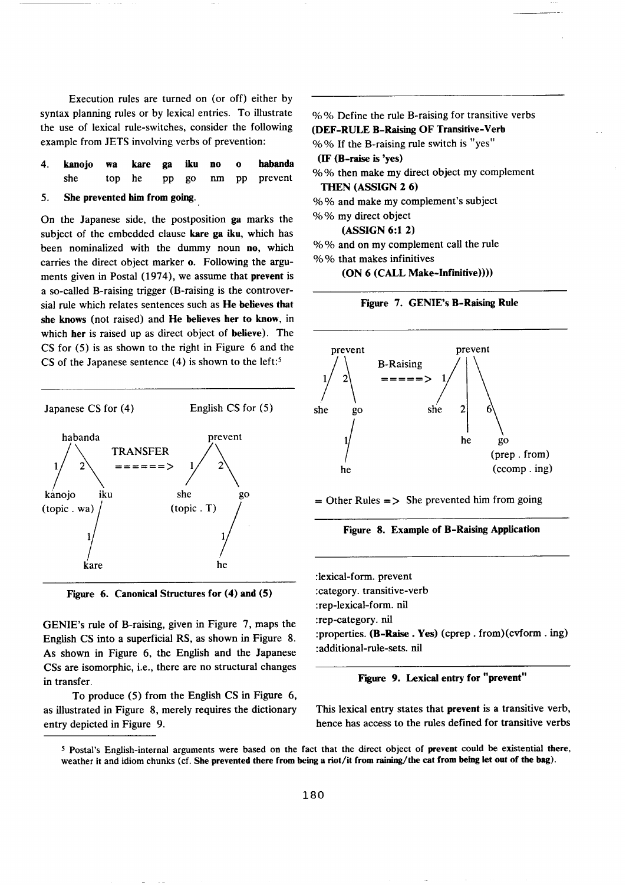Execution rules are turned on (or off) either by syntax planning rules or by lexical entries. To illustrate the use of lexical rule-switches, consider the following example from JETS involving verbs of prevention:

|  |  |  |  | 4. kanojo wa kare ga iku no o habanda |
|--|--|--|--|---------------------------------------|
|  |  |  |  | she top he pp go nm pp prevent        |

#### 5. She prevented him from going.

On the Japanese side, the postposition ga marks the subject of the embedded clause kare ga iku, which has been nominalized with the dummy noun no, which carries the direct object marker o. Following the arguments given in Postal (1974), we assume that prevent is a so-called B-raising trigger (B-raising is the controversial rule which relates sentences such as He believes that she knows (not raised) and He believes her to know, in which her is raised up as direct object of believe). The CS for (5) is as shown to the fight in Figure 6 and the CS of the Japanese sentence  $(4)$  is shown to the left:<sup>5</sup>





GENIE's rule of B-raising, given in Figure 7, maps the English CS into a superficial RS, as shown in Figure 8. As shown in Figure 6, the English and the Japanese CSs are isomorphic, i.e., there are no structural changes in transfer.

To produce (5) from the English CS in Figure 6, as illustrated in Figure 8, merely requires the dictionary entry depicted in Figure 9.

% % Define the rule B-raising for transitive verbs (DEF-RULE B-Raising OF Transitive-Verb %% If the B-raising rule switch is "yes" **(IF (B-raise is 'yes)**  % % then make my direct object my complement THEN (ASSIGN 2 6) % % and make my complement's subject % % my direct object

(ASSIGN 6:1 2)

% % and on my complement call the rule % % that makes infinitives

(ON 6 (CALL Make-Infinitive))))





 $=$  Other Rules  $=$  > She prevented him from going



:lexical-form. prevent :category. transitive-verb :rep-lexical-form. nil :rep-category. nil :properties. (B-Raise. Yes) (cprep. from)(cvform. ing) :additional-rule-sets. nil

**Figure 9. Lexical entry for "prevent"** 

This lexical entry states that prevent is a transitive verb, hence has access to the rules defined for transitive verbs

s Postal's English-internal arguments were based on the fact that the direct object of prevent could be existential there, weather **it** and idiom chunks (cf. She prevented there from being a **riot/it from raining/the cat** from being let **out of** the bag).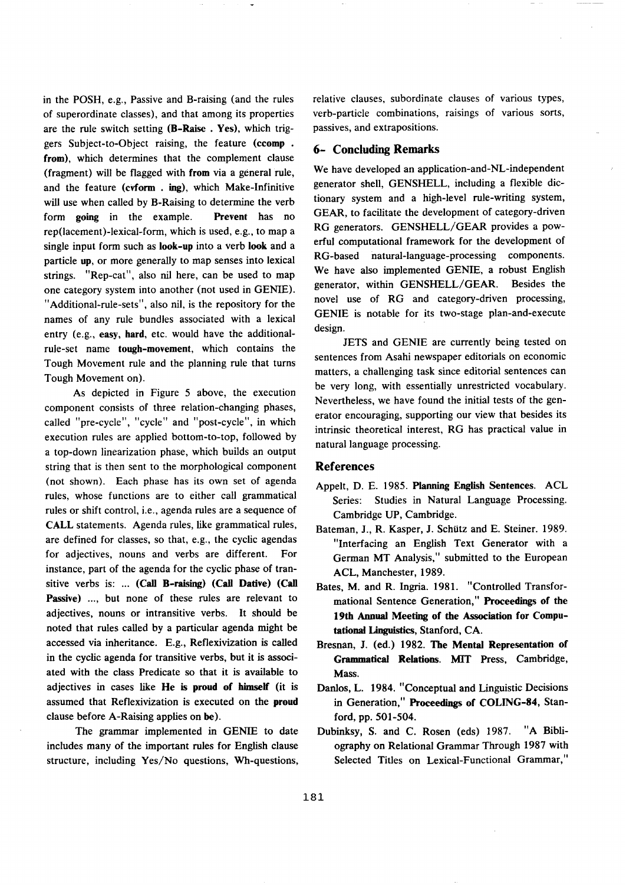in the POSH, e.g., Passive and B-raising (and the rules of superordinate classes), and that among its properties are the rule switch setting (B-Raise . Yes), which triggers Subject-to-Object raising, the feature (ccomp . **from),** which determines that the complement clause (fragment) will be flagged with from via a general rule, and the feature (cvform . ing), which Make-Infinitive will use when called by B-Raising to determine the verb form going in the example. Prevent has no rep(lacement)-lexical-form, which is used, e.g., to map a single input form such as look-up into a verb look and a particle up, or more generally to map senses into lexical strings. "Rep-cat", also nil here, can be used to map one category system into another (not used in GENIE). "Additional-rule-sets", also nil, is the repository for the names of any rule bundles associated with a lexical entry (e.g., easy, hard, etc. would have the additionalrule-set name tough-movement, which contains the Tough Movement rule and the planning rule that turns Tough Movement on).

As depicted in Figure 5 above, the execution component consists of three relation-changing phases, called "pre-cycle", "cycle" and "post-cycle", in which execution rules are applied bottom-to-top, followed by a top-down linearization phase, which builds an output string that is then sent to the morphological component (not shown). Each phase has its own set of agenda rules, whose functions are to either call grammatical rules or shift control, i.e., agenda rules are a sequence of CALL statements. Agenda rules, like grammatical rules, are defined for classes, so that, e.g., the cyclic agendas for adjectives, nouns and verbs are different. For instance, part of the agenda for the cyclic phase of transitive verbs is: ... (Call B-raising) (Call Dative) (Call **Passive)** .... but none of these rules are relevant to adjectives, nouns or intransitive verbs. It should be noted that rules called by a particular agenda might be accessed via inheritance. E.g., Reflexivization is called in the cyclic agenda for transitive verbs, but it is associated with the class Predicate so that it is available to adjectives in cases like He is **proud of himself (it is**  assumed that Reflexivization is executed on the **proud**  clause before A-Raising applies on be).

The grammar implemented in GENIE to date includes many of the important rules for English clause structure, including Yes/No questions, Wh-questions, relative clauses, subordinate clauses of various types, verb-particle combinations, raisings of various sorts, passives, and extrapositions.

#### 6- Concluding **Remarks**

We have developed an application-and-NL-independent generator shell, GENSHELL, including a flexible dictionary system and a high-level rule-writing system, GEAR, to facilitate the development of category-driven RG generators. GENSHELL/GEAR provides a powerful computational framework for the development of RG-based natural-language-processing components. We have also implemented GENIE, a robust English generator, within GENSHELL/GEAR. Besides the novel use of RG and category-driven processing, GENIE is notable for its two-stage plan-and-execute design.

JETS and GENIE are currently being tested on sentences from Asahi newspaper editorials on economic matters, a challenging task since editorial sentences can be very long, with essentially unrestricted vocabulary. Nevertheless, we have found the initial tests of the generator encouraging, supporting our view that besides its intrinsic theoretical interest, RG has practical value in natural language processing.

#### **References**

- Appelt, D. E. 1985. Planning English Sentences. ACL Series: Studies in Natural Language Processing. Cambridge UP, Cambridge.
- Bateman, J., R. Kasper, J. Schütz and E. Steiner. 1989. "Interfacing an English Text Generator with a German MT Analysis," submitted to the European ACL, Manchester, 1989.
- Bates, M. and R. Ingria. 1981. "Controlled Transformational Sentence Generation," Proceedings **of the 19th** Annual Meeting **of the Association for Compu**tational Linguistics, Stanford, CA.
- Bresnan, **J. (ed.) 1982. The Mental Representation of Grammatical** Relations. MIT Press, Cambridge, **Mass.**
- Danlos, L. 1984. "Conceptual and Linguistic Decisions in Generation," Proceedings of COLING-84, Stanford, pp. 501-504.
- Dubinksy, S. and C. Rosen (eds) 1987. "A Bibliography on Relational Grammar Through 1987 with Selected Titles on Lexical-Functional Grammar,"